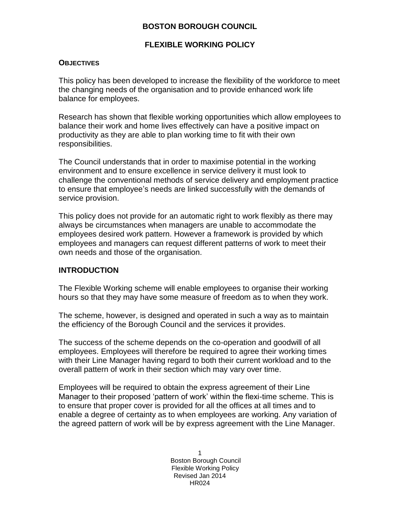## **BOSTON BOROUGH COUNCIL**

## **FLEXIBLE WORKING POLICY**

#### **OBJECTIVES**

This policy has been developed to increase the flexibility of the workforce to meet the changing needs of the organisation and to provide enhanced work life balance for employees.

Research has shown that flexible working opportunities which allow employees to balance their work and home lives effectively can have a positive impact on productivity as they are able to plan working time to fit with their own responsibilities.

The Council understands that in order to maximise potential in the working environment and to ensure excellence in service delivery it must look to challenge the conventional methods of service delivery and employment practice to ensure that employee's needs are linked successfully with the demands of service provision.

This policy does not provide for an automatic right to work flexibly as there may always be circumstances when managers are unable to accommodate the employees desired work pattern. However a framework is provided by which employees and managers can request different patterns of work to meet their own needs and those of the organisation.

## **INTRODUCTION**

The Flexible Working scheme will enable employees to organise their working hours so that they may have some measure of freedom as to when they work.

The scheme, however, is designed and operated in such a way as to maintain the efficiency of the Borough Council and the services it provides.

The success of the scheme depends on the co-operation and goodwill of all employees. Employees will therefore be required to agree their working times with their Line Manager having regard to both their current workload and to the overall pattern of work in their section which may vary over time.

Employees will be required to obtain the express agreement of their Line Manager to their proposed 'pattern of work' within the flexi-time scheme. This is to ensure that proper cover is provided for all the offices at all times and to enable a degree of certainty as to when employees are working. Any variation of the agreed pattern of work will be by express agreement with the Line Manager.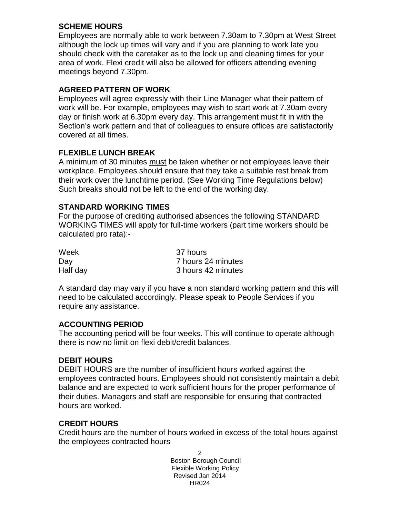## **SCHEME HOURS**

Employees are normally able to work between 7.30am to 7.30pm at West Street although the lock up times will vary and if you are planning to work late you should check with the caretaker as to the lock up and cleaning times for your area of work. Flexi credit will also be allowed for officers attending evening meetings beyond 7.30pm.

# **AGREED PATTERN OF WORK**

Employees will agree expressly with their Line Manager what their pattern of work will be. For example, employees may wish to start work at 7.30am every day or finish work at 6.30pm every day. This arrangement must fit in with the Section's work pattern and that of colleagues to ensure offices are satisfactorily covered at all times.

# **FLEXIBLE LUNCH BREAK**

A minimum of 30 minutes must be taken whether or not employees leave their workplace. Employees should ensure that they take a suitable rest break from their work over the lunchtime period. (See Working Time Regulations below) Such breaks should not be left to the end of the working day.

# **STANDARD WORKING TIMES**

For the purpose of crediting authorised absences the following STANDARD WORKING TIMES will apply for full-time workers (part time workers should be calculated pro rata):-

| Week     | 37 hours           |
|----------|--------------------|
| Day      | 7 hours 24 minutes |
| Half day | 3 hours 42 minutes |

A standard day may vary if you have a non standard working pattern and this will need to be calculated accordingly. Please speak to People Services if you require any assistance.

# **ACCOUNTING PERIOD**

The accounting period will be four weeks. This will continue to operate although there is now no limit on flexi debit/credit balances.

# **DEBIT HOURS**

DEBIT HOURS are the number of insufficient hours worked against the employees contracted hours. Employees should not consistently maintain a debit balance and are expected to work sufficient hours for the proper performance of their duties. Managers and staff are responsible for ensuring that contracted hours are worked.

# **CREDIT HOURS**

Credit hours are the number of hours worked in excess of the total hours against the employees contracted hours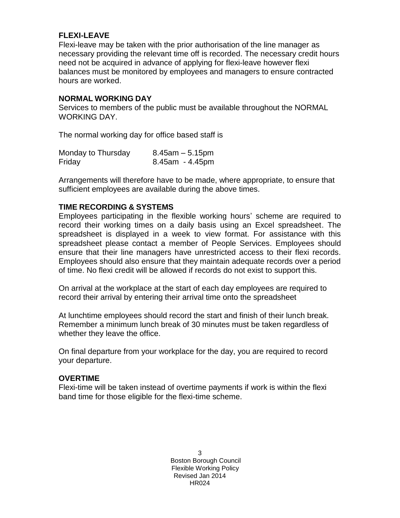## **FLEXI-LEAVE**

Flexi-leave may be taken with the prior authorisation of the line manager as necessary providing the relevant time off is recorded. The necessary credit hours need not be acquired in advance of applying for flexi-leave however flexi balances must be monitored by employees and managers to ensure contracted hours are worked.

## **NORMAL WORKING DAY**

Services to members of the public must be available throughout the NORMAL WORKING DAY.

The normal working day for office based staff is

| Monday to Thursday | $8.45$ am $-5.15$ pm  |
|--------------------|-----------------------|
| Friday             | $8.45$ am - $4.45$ pm |

Arrangements will therefore have to be made, where appropriate, to ensure that sufficient employees are available during the above times.

## **TIME RECORDING & SYSTEMS**

Employees participating in the flexible working hours' scheme are required to record their working times on a daily basis using an Excel spreadsheet. The spreadsheet is displayed in a week to view format. For assistance with this spreadsheet please contact a member of People Services. Employees should ensure that their line managers have unrestricted access to their flexi records. Employees should also ensure that they maintain adequate records over a period of time. No flexi credit will be allowed if records do not exist to support this.

On arrival at the workplace at the start of each day employees are required to record their arrival by entering their arrival time onto the spreadsheet

At lunchtime employees should record the start and finish of their lunch break. Remember a minimum lunch break of 30 minutes must be taken regardless of whether they leave the office.

On final departure from your workplace for the day, you are required to record your departure.

## **OVERTIME**

Flexi-time will be taken instead of overtime payments if work is within the flexi band time for those eligible for the flexi-time scheme.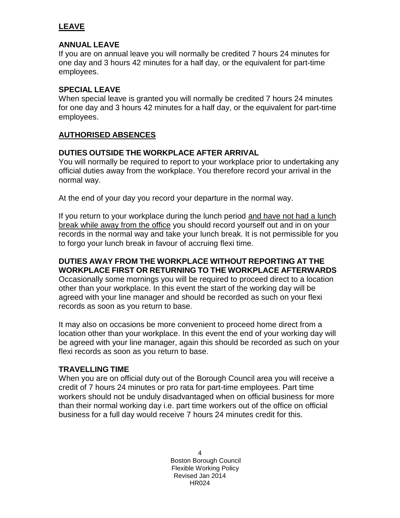# **LEAVE**

## **ANNUAL LEAVE**

If you are on annual leave you will normally be credited 7 hours 24 minutes for one day and 3 hours 42 minutes for a half day, or the equivalent for part-time employees.

## **SPECIAL LEAVE**

When special leave is granted you will normally be credited 7 hours 24 minutes for one day and 3 hours 42 minutes for a half day, or the equivalent for part-time employees.

# **AUTHORISED ABSENCES**

## **DUTIES OUTSIDE THE WORKPLACE AFTER ARRIVAL**

You will normally be required to report to your workplace prior to undertaking any official duties away from the workplace. You therefore record your arrival in the normal way.

At the end of your day you record your departure in the normal way.

If you return to your workplace during the lunch period and have not had a lunch break while away from the office you should record yourself out and in on your records in the normal way and take your lunch break. It is not permissible for you to forgo your lunch break in favour of accruing flexi time.

#### **DUTIES AWAY FROM THE WORKPLACE WITHOUT REPORTING AT THE WORKPLACE FIRST OR RETURNING TO THE WORKPLACE AFTERWARDS** Occasionally some mornings you will be required to proceed direct to a location other than your workplace. In this event the start of the working day will be agreed with your line manager and should be recorded as such on your flexi records as soon as you return to base.

It may also on occasions be more convenient to proceed home direct from a location other than your workplace. In this event the end of your working day will be agreed with your line manager, again this should be recorded as such on your flexi records as soon as you return to base.

## **TRAVELLING TIME**

When you are on official duty out of the Borough Council area you will receive a credit of 7 hours 24 minutes or pro rata for part-time employees. Part time workers should not be unduly disadvantaged when on official business for more than their normal working day i.e. part time workers out of the office on official business for a full day would receive 7 hours 24 minutes credit for this.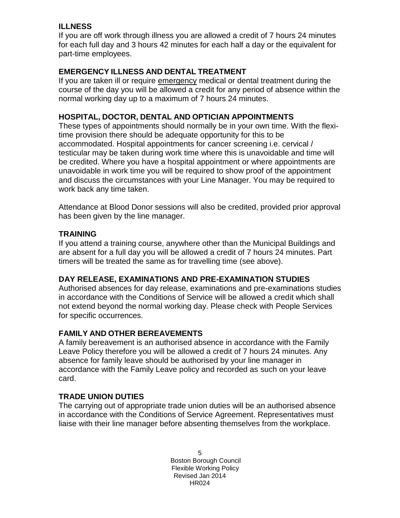# **ILLNESS**

If you are off work through illness you are allowed a credit of 7 hours 24 minutes for each full day and 3 hours 42 minutes for each half a day or the equivalent for part-time employees.

## **EMERGENCY ILLNESS AND DENTAL TREATMENT**

If you are taken ill or require emergency medical or dental treatment during the course of the day you will be allowed a credit for any period of absence within the normal working day up to a maximum of 7 hours 24 minutes.

## **HOSPITAL, DOCTOR, DENTAL AND OPTICIAN APPOINTMENTS**

These types of appointments should normally be in your own time. With the flexitime provision there should be adequate opportunity for this to be accommodated. Hospital appointments for cancer screening i.e. cervical / testicular may be taken during work time where this is unavoidable and time will be credited. Where you have a hospital appointment or where appointments are unavoidable in work time you will be required to show proof of the appointment and discuss the circumstances with your Line Manager. You may be required to work back any time taken.

Attendance at Blood Donor sessions will also be credited, provided prior approval has been given by the line manager.

## **TRAINING**

If you attend a training course, anywhere other than the Municipal Buildings and are absent for a full day you will be allowed a credit of 7 hours 24 minutes. Part timers will be treated the same as for travelling time (see above).

# **DAY RELEASE, EXAMINATIONS AND PRE-EXAMINATION STUDIES**

Authorised absences for day release, examinations and pre-examinations studies in accordance with the Conditions of Service will be allowed a credit which shall not extend beyond the normal working day. Please check with People Services for specific occurrences.

## **FAMILY AND OTHER BEREAVEMENTS**

A family bereavement is an authorised absence in accordance with the Family Leave Policy therefore you will be allowed a credit of 7 hours 24 minutes. Any absence for family leave should be authorised by your line manager in accordance with the Family Leave policy and recorded as such on your leave card.

# **TRADE UNION DUTIES**

The carrying out of appropriate trade union duties will be an authorised absence in accordance with the Conditions of Service Agreement. Representatives must liaise with their line manager before absenting themselves from the workplace.